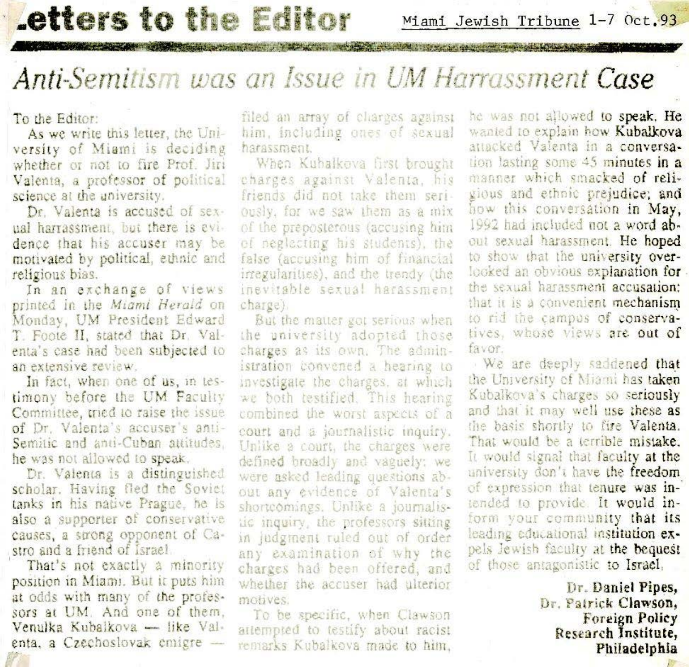### **Letters to the Editor**

Miami Jewish Tribune 1-7 Oct.93

Sales and the complete the state of the Miller School

#### Anti-Semitism was an Issue in UM Harrassment Case

**Contract of the Contract of the Contract of the Contract of the Contract of the Contract of the Contract of the Contract of the Contract of the Contract of the Contract of the Contract of the Contract of the Contract of t** 

To the Editor:

As we write this letter, the University of Miami is deciding whether or not to fire Prof. Jiri Valenta, a professor of political science at the university.

Dr. Valenta is accused of sexual harrassment, but there is evidence that his accuser may be motivated by political, ethnic and religious bias.

In an exchange of views printed in the Miami Herald on Monday, UM President Edward T. Foote II, stated that Dr. Valenta's case had been subjected to an extensive review.

In fact, when one of us, in testimony before the UM Faculty Committee, tried to raise the issue of Dr. Valenta's accuser's anti-Semitic and anti-Cuban attitudes. he was not allowed to speak.

Dr. Valenta is a distinguished scholar. Having fled the Soviet tanks in his native Prague, he is also a supporter of conservative causes, a strong opponent of Castro and a friend of Israel.

That's not exactly a minority position in Miami. But it puts him at odds with many of the professors at UM. And one of them. Venulka Kubalkova — like Valenta, a Czechoslovak emigre -

filed an array of charges against him, including ones of sexual harassment

When Kubalkova first brought charges against Valenta, his friends did not take them seriously, for we saw them as a mix of the preposterous (accusing him of neglecting his students), the false (accusing him of financial irregularities), and the trendy (the inevitable sexual harassment charge)

But the matter got serious when the university adopted those charges as its own. The administration convened a hearing to investigate the charges, at which we both testified. This hearing combined the worst aspects of a court and a journalistic inquiry. Unlike a court, the charges were defined broadly and vaguely: we were asked leading questions about any evidence of Valenta's shortcomings. Unlike a journalistic inquiry, the professors sitting in judgment ruled out of order any examination of why the charges had been offered, and whether the accuser had ulterior motives.

To be specific, when Clawson attempted to testify about racist remarks Kubalkova made to him. he was not allowed to speak. He wanted to explain how Kubalkova attacked Valenta in a conversation lasting some 45 minutes in a manner which smacked of religious and ethnic prejudice; and how this conversation in May, 1992 had included not a word about sexual harassment. He hoped to show that the university overlooked an obvious explanation for the sexual harassment accusation: that it is a convenient mechanism to rid the campus of conservatives, whose views are out of favor.

We are deeply saddened that the University of Miami has taken Kubalkova's charges so seriously and that it may well use these as the basis shortly to fire Valenta. That would be a terrible mistake. It would signal that faculty at the university don't have the freedom of expression that tenure was intended to provide. It would inform your community that its leading educational institution expels Jewish faculty at the bequest of those antagonistic to Israel,

> Dr. Daniel Pipes. Dr. Patrick Clawson, **Foreign Policy** Research Institute. Philadelphia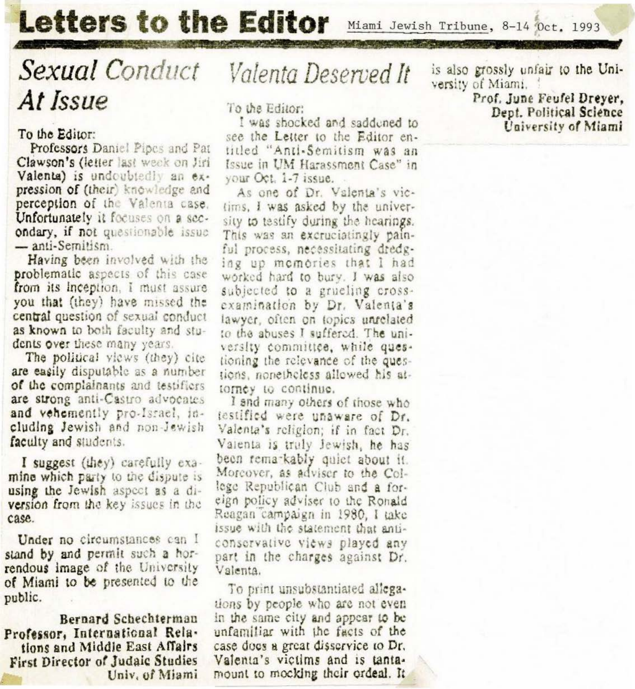# **Letters to the Editor**

Miami Jewish Tribune, 8-14 Oct. 1993

# Sexual Conduct At Issue

#### To the Editor:

Professors Daniel Pipes and Pat Clawson's (letter last week on Jiri Valenta) is undoubtedly an expression of (their) knowledge and perception of the Valenta case. Unfortunately it focuses on a secondary, if not questionable issue  $-$  anti-Semitism.

Having been involved with the problematic aspects of this case from its inception, I must assure you that (they) have missed the central question of sexual conduct as known to both faculty and students over these many years.

The political views (they) cite are easily disputable as a number of the complainants and testifiers are strong anti-Castro advocates and vehemently pro-Israel, including Jewish and non-Jewish faculty and students.

I suggest (they) carefully examine which party to the dispute is using the Jewish aspect as a diversion from the key issues in the case.

Under no circumstances can I stand by and permit such a horrendous image of the University of Miami to be presented to the public.

Bernard Schechterman Professor, International Relations and Middle East Affairs First Director of Judaic Studies Univ, of Miami

## Valenta Deserved It

To the Editor:

I was shocked and saddened to see the Letter to the Editor entitled "Anti-Semitism was an Issue in UM Harassment Case" in your Oct. 1-7 issue.

As one of Dr. Valenta's victims, I was asked by the university to testify during the hearings. This was an excruciatingly painful process, necessitating dredging up memories that I had worked hard to bury. I was also subjected to a grueling crossexamination by Dr. Valenta's lawyer, often on topics unrelated to the abuses I suffered. The university committee, while questioning the relevance of the questions, nonetheless allowed his attorney to continue.

I and many others of those who testified were unaware of Dr. Valenta's religion; if in fact Dr. Valenta is truly Jewish, he has been remarkably quiet about it. Morcover, as adviser to the College Republican Club and a foreign policy adviser to the Ronald Reagan campaign in 1980, I take issue with the statement that anticonservative views played any part in the charges against Dr. Valenta.

To print unsubstantiated allegations by people who are not even in the same city and appear to be unfamiliar with the facts of the case does a great disservice to Dr. Valenta's victims and is tantamount to mocking their ordeal. It

is also grossly unfair to the University of Miami.

Prof. June Feufel Dreyer. Dept. Political Science University of Miami